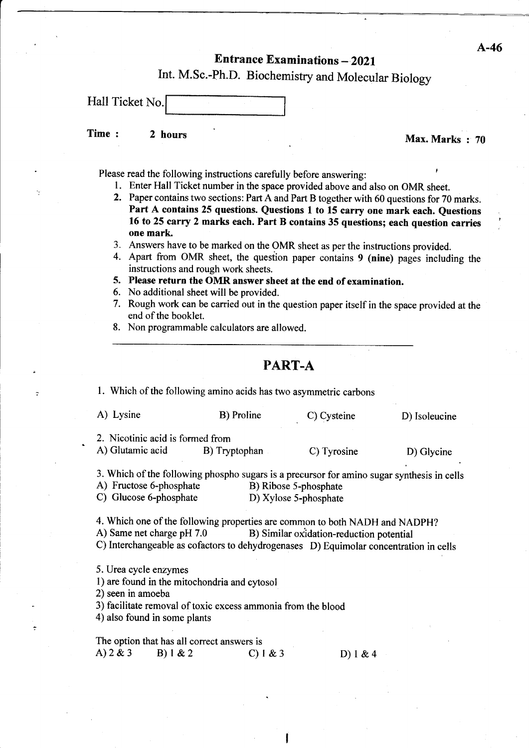## **Entrance Examinations - 2021**

Int. M.Sc.-Ph.D. Biochemistry and Molecular Biology

| Hall Ticket No. |  |
|-----------------|--|
|                 |  |

Time : 2 hours in the set of the Max. Marks : 70

- Please read the following instructions carefully before answering:<br>
1. Enter Hall Ticket number in the space provided above and also on OMR sheet.
	- 2. Paper contains two sections: Part A and Part B together with 60 questions for 70 marks. Part A contains 25 questions. Questions I to 15 carry one mark each. Questions 16 to 25 carry 2 marks each. Part B eontains 35 questions; each question carries one mark
	- 3. Answers have to be marked on the OMR sheet as per the instructions provided.
	- 4. Apart from OMR sheet, the question paper contains 9 (nine) pages including the instructions and rough work sheets.
	- 5. Please return the OMR answer sheet at the end of examination.
	- 6. No additional sheet will be provided.
	- 7. Rough work can be carried out in the question paper itself in the space provided at the end of the booklet.
	- 8. Non programmable calculators are allowed.
		- PART.A

l. Which of the following amino acids has fwo asymmetric carbons

| A) Lysine                        | B) Proline    | C) Cysteine | D) Isoleucine |
|----------------------------------|---------------|-------------|---------------|
| 2. Nicotinic acid is formed from |               |             |               |
| A) Glutamic acid                 | B) Tryptophan | C) Tyrosine | D) Glycine    |

|                         | 3. Which of the following phospho sugars is a precursor for amino sugar synthesis in cells |
|-------------------------|--------------------------------------------------------------------------------------------|
| A) Fructose 6-phosphate | B) Ribose 5-phosphate                                                                      |
| $\sim$                  |                                                                                            |

C) Glucose 6-phosphate D) Xylose 5-phosphate

4. Which one of the following properties are common to both NADH and NADPH?<br>A) Same net charge pH 7.0 B) Similar oxidation-reduction potential B) Similar oxidation-reduction potential C) Interchangeable as cofactors to dehydrogenases D) Equimolar concentration in cells

5. Urea cycle enzymes

l) are found in the mitochondria and cytosol

2) seen in amoeba

3) facilitate removal of toxic excess ammonia from the blood

4) also found in some plants

The option that has all correct answers is<br>
A)  $2 \& 3$  B)  $1 \& 2$  C)  $1 \& 3$  D)  $1 \& 4$ 

A-46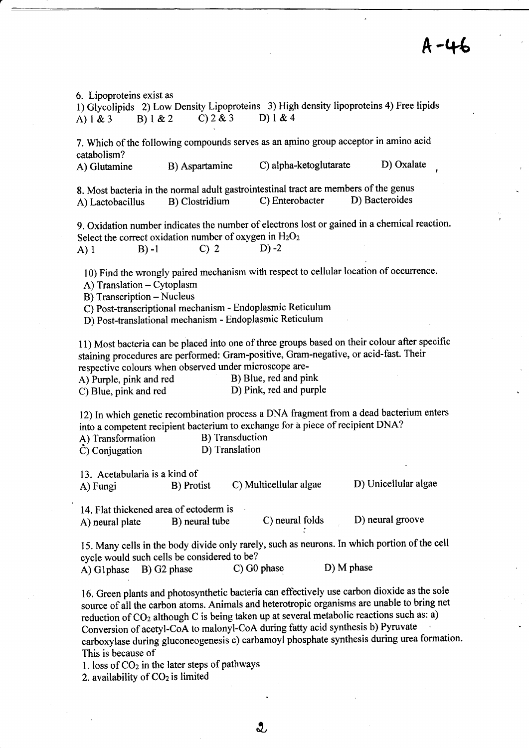r

6. Lipoproteins exist as

1) Glycolipids 2) Low Density Lipoproteins 3) High density lipoproteins 4) Free lipids A)  $1 \& 3$  B)  $1 \& 2$  C)  $2 \& 3$  D)  $1 \& 4$ 

7. Which of the following compounds serves as an amino group acceptor in amino acid catabolism?

A) Glutamine B) Aspartamine C) alpha-ketoglutarate D) Oxalate

8. Most bacteria in the normal adult gastrointestinal tract are members of the genus<br>A) Lactobacillus B) Clostridium C) Enterobacter D) Bacteroides A) Lactobacillus B) Clostridium

9. Oxidation number indicates the number of electrons lost or gained in a chemical reaction. Select the correct oxidation number of oxygen in  $H_2O_2$ 

A) 1 B) -1 C) 2 D) -2

l0) Find the wrongly paired mechanism with respect to cellular location of occurrence.

A) Translation - Cytoplasm

B) Transcription - Nucleus

C) Post-transcriptional mechanism - Endoplasmic Reticulum

D) Post-translational mechanism - Endoplasmic Reticulum

l1) Most bacteria can be placed into one of three groups based on their colour after specific staining procedures are performed: Gram-positive, Gram-negative, or acid-fast. Their respective colours when observed under microscope are-<br>A) Purple, pink and red B) Blue, red and pink

A) Purple, pink and red B) Blue, red and pink<br>
C) Blue, pink and red D) Pink, red and purple C) Blue, pink and red

12) In which genetic recombination process a DNA fragment from a dead bacterium enters into a competent recipient bacterium to exchange for a piece of recipient DNA?<br>A) Transformation B) Transduction

A) Transformation B) Transductic<br>
C) Conjugation D) Translation  $\dot{C}$ ) Conjugation

13. Acetabularia is a kind of

A) Fungi B) Protist C) Multicellular algae D) Unicellular algae

14. Flat thickened area of ectoderm is<br>A) neural plate B) neural tube A) neural plate B) neural tube C) neural folds D) neural groove

15. Many cells in the body divide only rarely, such as neurons.In which portion of the cell cycle would such cells be considered to be?<br>A) G1 phase B) G2 phase C) G0 phase

A) Glphase B) G2 phase C) G0 phase D) M phase

16. Green plants and photosynthetic bacteria can effectively use carbon dioxide as the sole source of all the carbon atoms. Animals and heterotropic organisms are unable to bring net reduction of CO<sub>2</sub> although C is being taken up at several metabolic reactions such as: a) Conversion of acetyl-CoA to malonyl-CoA during fafty acid synthesis b) Pyruvate carboxylase during gluconeogenesis c) carbamoyl phosphate synthesis during urea formation. This is because of

1. loss of  $CO<sub>2</sub>$  in the later steps of pathways

2. availability of  $CO<sub>2</sub>$  is limited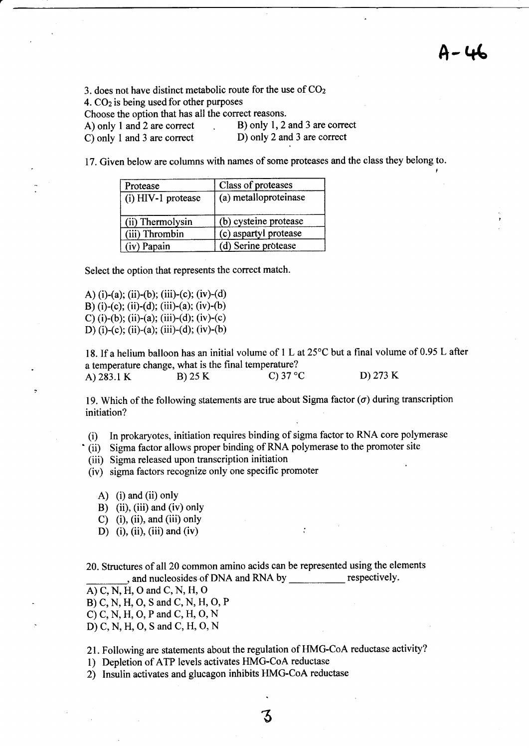$A-46$ 

3. does not have distinct metabolic route for the use of COz

4.  $CO<sub>2</sub>$  is being used for other purposes

Choose the option that has all the correct reasons.

| A) only 1 and 2 are correct | B) only 1, 2 and 3 are correct |
|-----------------------------|--------------------------------|
| C) only 1 and 3 are correct | D) only 2 and 3 are correct    |

17. Given below are columns with names of some proteases and the class they belong to.

| Protease           | Class of proteases    |  |  |  |
|--------------------|-----------------------|--|--|--|
| (i) HIV-1 protease | (a) metalloproteinase |  |  |  |
| (ii) Thermolysin   | (b) cysteine protease |  |  |  |
| (iii) Thrombin     | (c) aspartyl protease |  |  |  |
| (iv) Papain        | (d) Serine protease   |  |  |  |

Select the option that represents the correct match.

A) (i)-(a); (ii)-(b); (iii)-(c); (iv)-(d) B) (i)-(c); (ii)-(d); (iii)-(a); (iv)-(b) C) (i)-(b); (ii)-(a); (iii)-(d); (iv)-(c) D) (i)-(c); (ii)-(a); (iii)-(d); (iv)-(b)

18. If a helium balloon has an initial volume of  $1 L$  at  $25^{\circ}$ C but a final volume of 0.95 L after a temperature change, what is the final temperature? A) 283.1 K B) 25 K C) 37 °C D) 273 K

19. Which of the following statements are true about Sigma factor  $(\sigma)$  during transcription initiation?

(i) In prokaryotes, initiation requires binding of sigma factor to RNA core polymerase

(ii) Sigma factor allows proper binding of RNA polymerase to the promoter site

(iii) Sigma released upon transcription initiation

(iv) sigma factors recognize only one specific promoter

- A) (i) and (ii) only
- B) (ii), (iii) and (iv) only
- C) (i), (ii), and (iii) only
- D) (i), (ii), (iii) and (iv)

20. Structures of all20 common amino acids can be represented using the elements and nucleosides of DNA and RNA by \_\_\_\_\_\_\_\_\_\_\_\_\_ respectively

 $A)$  C, N, H, O and C, N, H, O

B) C,N, H, O, S and C, N, H, O, P

C) C, N, H, O, P and C, H, O, N

D) C,N, H, O, S and C, H, O, N

21. Following are statements about the regulation of HMG-CoA reductase activity?

1) Depletion of ATP levels activates HMG-CoA reductase

2) Insulin activates and glucagon inhibits HMG-CoA reductase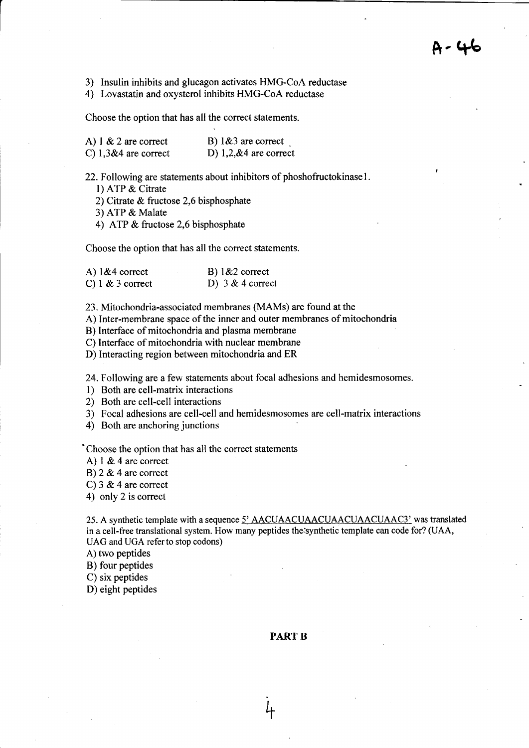3) Insulin inhibits and glucagon activates HMG-CoA reductase

4) Lovastatin and oxysterol inhibits HMG-CoA reductase

Choose the option that has all the correct statements.

| A) $1 \& 2$ are correct | B) $1\&3$ are correct   |
|-------------------------|-------------------------|
| C) $1,3&4$ are correct  | D) $1,2,84$ are correct |

22. Following are statements about inhibitors of phoshofructokinase1.

l) ATP & Citrate

2) Citrate & fructose 2,6 bisphosphate

3) ATP & Malate

4) ATP & fructose 2,6 bisphosphate

Choose the option that has all the correct statements.

| A) $1&4$ correct   | B) $1&2$ correct   |
|--------------------|--------------------|
| C) $1 & 3$ correct | D) $3 & 4$ correct |

23. Mitochondria-associated membranes (MAMs) are found at the

A) Inter-membrane space of the inner and outer membranes of mitochondria

B) Interface of mitochondria and plasma membrane

C) Interface of mitochondria with nuclear membrane

D) Interacting region between mitochondria and ER

24. Following are a few statements about focal adhesions and hemidesmosomes.

l) Both are cell-matrix interactions

2) Both are cell-cell interactions

3) Focal adhesions are cell-cell and hemidesmosomes are cell-matrix interactions

4) Both are anchoring junctions

'Choose the option that has all the correct statements

A)  $1 & 4$  are correct

B)  $2 & 4$  are correct

C)  $3 & 4$  are correct

4) only 2 is correct

25. A synthetic template with a sequence  $5'$  AACUAACUAACUAACUAACUAAC3' was translated in a cell-free translational system. How many peptides the;synthetic template can code for? (UAA, UAG and UGA referto stop codons)

A) two peptides

B) four peptides

C) six peptides

D) eight peptides

## PART B

+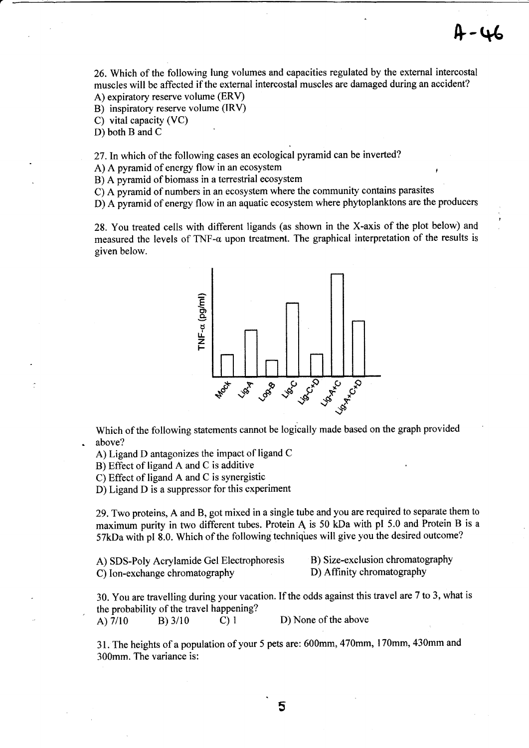26. Which of the following lung volumes and capacities regulated by the external intercostal muscles will be affected if the external intercostal muscles are damaged during an accident? A) expiratory reserve volume (ERV)

B) inspiratory reserve volume (IRV)

C) vital capacity (VC)

D) both B and C

27. In which of the following cases an ecological pyramid can be inverted?

A) A pyramid of energy flow in an ecosystem

B) A pyramid of biomass in a terrestrial ecosystem

C) A pyramid of numbers in an ecosystem where the community contains parasites

D) A pyramid of energy flow in an aquatic ecosystem where phytoplanktons are the producers

28. You treated cells with different ligands (as shown in the X-axis of the plot below) and measured the levels of TNF- $\alpha$  upon treatment. The graphical interpretation of the results is given below.



Which of the following statements cannot be logically made based on the graph provided above?

A) Ligand D antagonizes the impact of ligand C

B) Effect of ligand A and C is additive

C) Effect of ligand A and C is synergistic

D) Ligand D is a suppressor for this experiment

29. Two proteins, A and B, got mixed in a single tube and you are required to separate them to maximum purity in two different tubes. Protein A is 50 kDa with pI 5.0 and Protein B is <sup>a</sup> 57kDa with pl 8.0. Which of the following techniques will give you the desired outcome?

| A) SDS-Poly Acrylamide Gel Electrophoresis | B) Size-exclusion chromatography |
|--------------------------------------------|----------------------------------|
| C) Ion-exchange chromatography             | D) Affinity chromatography       |

30. You are travelling during your vacation. If the odds against this travel are 7 to 3, what is the probability of the travel happening? A)  $7/10$  B)  $3/10$  C) 1 D) None of the above

31. The heights of a population of your 5 pets are: 600mm , 470mm, I 70mm, 430mm and 300mm. The variance is: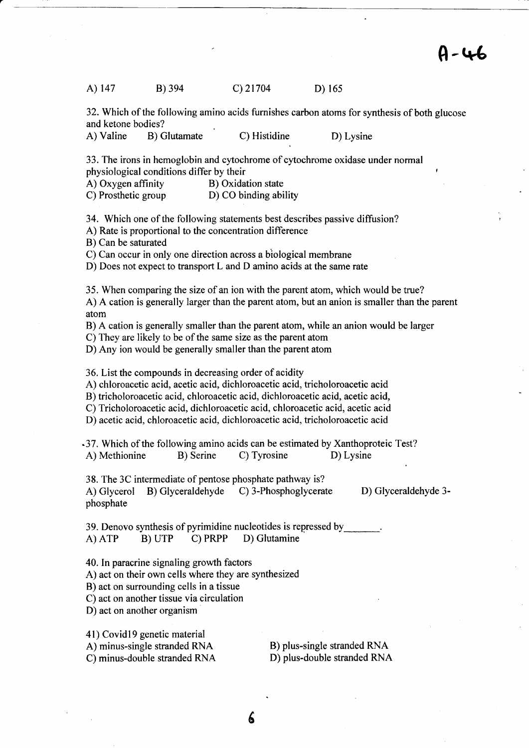A-46

| A) 147 | B) 394 | $C)$ 21704 | D) $165$ |
|--------|--------|------------|----------|
|        |        |            |          |

32. Which of the following amino acids furnishes carbon atoms for synthesis of both glucose and ketone bodies?

A) Valine B) Glutamate C) Histidine D) Lysine

33. The irons in hemoglobin and cytochrome of cytochrome oxidase under normal physiological conditions differ by their<br>
A) Oxygen affinity<br>
B) Oxidation state

A) Oxygen affinity<br>C) Prosthetic group

D) CO binding ability

34. Which one of the following statements best describes passive diffusion?

A) Rate is proportional to the concentration difference

B) Can be saturated

C) Can occur in only one direction across a biological membrane

D) Does not expect to transport L and D amino acids at the same rate

35. When comparing the size of an ion with the parent atom, which would be true?

A) A cation is generally larger than the parent atom, but an anion is smaller than the parent atom

B) A cation is generally smaller than the parent atom, while an anion would be larger

C) They are likely to be of the same size as the parent atom

D) Any ion would be generally smaller than the parent atom

36. List the compounds in decreasing order of acidity

A) chloroacetic acid, acetic acid, dichloroacetic acid, tricholoroacetic acid

B) tricholoroacetic acid, chloroacetic acid, dichloroacetic acid, acetic acid,

C) Tricholoroacetic acid, dichloroacetic acid, chloroacetic acid, acetic acid

D) acetic acid, chloroacetic acid, dichloroacetic acid, tricholoroacetic acid

.37. Which of the following amino acids can be estimated by Xanthoproteic Test? A) Methionine B) Serine C) Tyrosine D) Lysine

38. The 3C intermediate of pentose phosphate pathway is?

A) Glycerol B) Glyceraldehyde C) 3-Phosphoglycerate D) Glyceraldehyde 3 phosphate

39. Denovo synthesis of pyrimidine nucleotides is repressed by A) ATP B) UTP C) PRPP D) Glutamine

40. In paracrine signaling growth factors

A) act on their own cells where they are synthesized

B) act on surrounding cells in a tissue

C) act on another tissue via circulation

D) act on another organism

4l) Covidl9 genetic material

C) minus-double stranded RNA

A) minus-single stranded RNA<br>
C) minus-double stranded RNA<br>
D) plus-double stranded RNA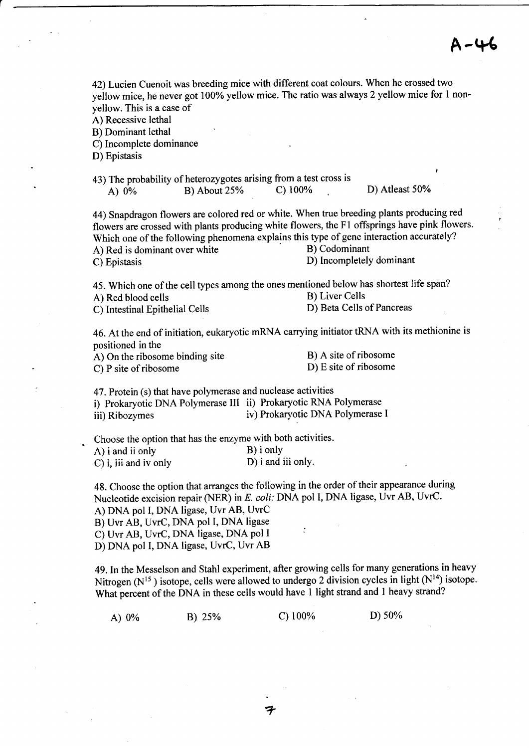## $A - 46$

| 42) Lucien Cuenoit was breeding mice with different coat colours. When he crossed two<br>yellow mice, he never got 100% yellow mice. The ratio was always 2 yellow mice for 1 non-<br>yellow. This is a case of<br>A) Recessive lethal<br>B) Dominant lethal<br>C) Incomplete dominance<br>D) Epistasis                                                |                                 |                                                    |                     |  |
|--------------------------------------------------------------------------------------------------------------------------------------------------------------------------------------------------------------------------------------------------------------------------------------------------------------------------------------------------------|---------------------------------|----------------------------------------------------|---------------------|--|
| 43) The probability of heterozygotes arising from a test cross is<br>B) About 25%<br>A) $0\%$                                                                                                                                                                                                                                                          | $C)$ 100%                       |                                                    | ł<br>D) Atleast 50% |  |
| 44) Snapdragon flowers are colored red or white. When true breeding plants producing red<br>flowers are crossed with plants producing white flowers, the F1 offsprings have pink flowers.<br>Which one of the following phenomena explains this type of gene interaction accurately?<br>A) Red is dominant over white<br>C) Epistasis                  |                                 | B) Codominant<br>D) Incompletely dominant          |                     |  |
| 45. Which one of the cell types among the ones mentioned below has shortest life span?<br>A) Red blood cells<br>C) Intestinal Epithelial Cells                                                                                                                                                                                                         |                                 | <b>B)</b> Liver Cells<br>D) Beta Cells of Pancreas |                     |  |
| 46. At the end of initiation, eukaryotic mRNA carrying initiator tRNA with its methionine is<br>positioned in the<br>A) On the ribosome binding site<br>C) P site of ribosome                                                                                                                                                                          |                                 | B) A site of ribosome<br>D) E site of ribosome     |                     |  |
| 47. Protein (s) that have polymerase and nuclease activities<br>i) Prokaryotic DNA Polymerase III ii) Prokaryotic RNA Polymerase<br>iii) Ribozymes                                                                                                                                                                                                     |                                 | iv) Prokaryotic DNA Polymerase I                   |                     |  |
| Choose the option that has the enzyme with both activities.<br>A) i and ii only<br>C) i, iii and iv only                                                                                                                                                                                                                                               | B) i only<br>D) i and iii only. |                                                    |                     |  |
| 48. Choose the option that arranges the following in the order of their appearance during<br>Nucleotide excision repair (NER) in E. coli: DNA pol I, DNA ligase, Uvr AB, UvrC.<br>A) DNA pol I, DNA ligase, Uvr AB, UvrC<br>B) Uvr AB, UvrC, DNA pol I, DNA ligase<br>C) Uvr AB, UvrC, DNA ligase, DNA pol I<br>D) DNA pol I, DNA ligase, UvrC, Uvr AB |                                 |                                                    |                     |  |
| 49. In the Messelson and Stahl experiment, after growing cells for many generations in heavy<br>Nitrogen ( $N^{15}$ ) isotope, cells were allowed to undergo 2 division cycles in light ( $N^{14}$ ) isotope.<br>What percent of the DNA in these cells would have 1 light strand and 1 heavy strand?                                                  |                                 |                                                    |                     |  |

 $\bar{\beta}$ 

A) 0% B) 2s% c) 100% D) s0%

7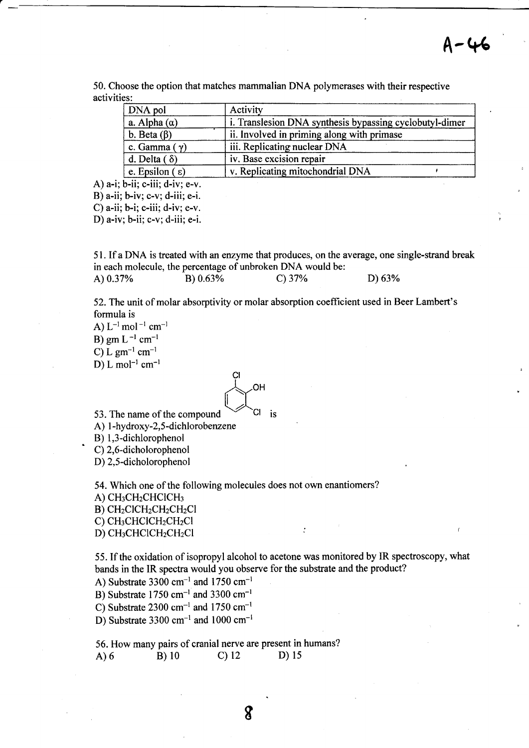A-46

50. Choose the option that matches mammalian DNA polymerases with their respective activities:

| DNA pol                    | Activity                                                |
|----------------------------|---------------------------------------------------------|
| a. Alpha $(\alpha)$        | i. Translesion DNA synthesis bypassing cyclobutyl-dimer |
| b. Beta $(\beta)$          | ii. Involved in priming along with primase              |
| c. Gamma $(\gamma)$        | iii. Replicating nuclear DNA                            |
| d. Delta $(\delta)$        | iv. Base excision repair                                |
| e. Epsilon $(\varepsilon)$ | v. Replicating mitochondrial DNA                        |

A)  $a-i$ ;  $b-ii$ ;  $c-iii$ ;  $d-iv$ ;  $e-v$ .

B) a-ii; b-iv; c-v; d-iii; e-i.

C) a-ii; b-i; c-iii; d-iv; e-v.

D) a-iv; b-ii; c-v;d-iii; e-i.

<sup>5</sup>I . If a DNA is treated with an enzyme that produces, on the average, one single-strand break in each molecule, the percentage of unbroken DNA would be: A)  $0.37\%$  B)  $0.63\%$  C)  $37\%$  D) 63%

52. The unit of molar absorptivity or molar absorption coefficient used in Beer Lambert's formula is

A)  $L^{-1}$  mol<sup>-1</sup> cm<sup>-1</sup> B) gm  $L^{-1}$  cm<sup>-1</sup> C) L gm<sup>-1</sup> cm<sup>-1</sup> D) L mol<sup>-1</sup> cm<sup>-1</sup>

Çl  $\overline{\mathcal{A}}$ 

53. The name of the compound  $\vee$   $\vee$  Cl is A) I -hydroxy-2,5 -dichlorobenzene

B) 1,3-dichlorophenol<br>C) 2,6-dicholorophenol

D) 2,5-dicholorophenol

54. Which one of the following molecules does not own enantiomers?  $A)$  CH<sub>3</sub>CH<sub>2</sub>CHCICH<sub>3</sub>  $B)$  CH<sub>2</sub>ClCH<sub>2</sub>CH<sub>2</sub>CH<sub>2</sub>Cl C) CH<sub>3</sub>CHClCH<sub>2</sub>CH<sub>2</sub>Cl D) CH<sub>3</sub>CHClCH<sub>2</sub>CH<sub>2</sub>Cl

55. If the oxidation of isopropyl alcohol to acetone was monitored by IR spectroscopy, what bands in the IR spectra would you observe for the substrate and the product?

A) Substrate 3300 cm<sup>-1</sup> and 1750 cm<sup>-1</sup> B) Substrate  $1750$  cm<sup>-1</sup> and 3300 cm<sup>-1</sup>

C) Substrate 2300 cm<sup>-1</sup> and 1750 cm<sup>-1</sup>

D) Substrate 3300 cm<sup>-1</sup> and 1000 cm<sup>-1</sup>

56. How many pairs of cranial nerve are present in humans?<br>
A) 6 B) 10 C) 12 D) 15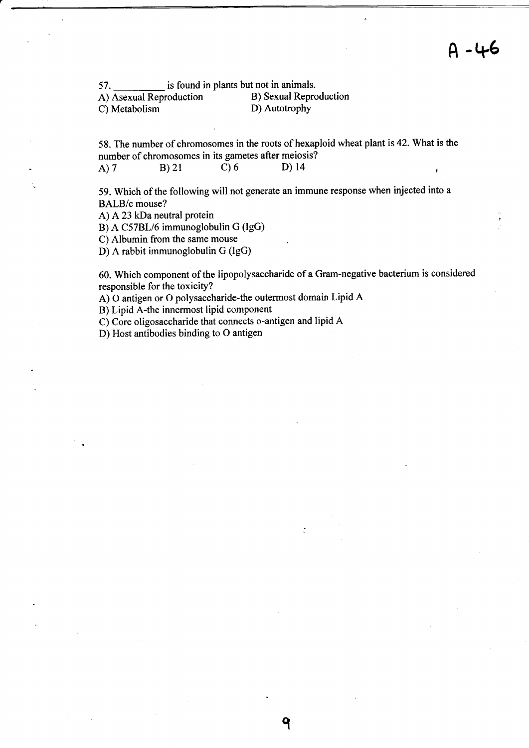57. is found in plants but not in animals.<br>A) Asexual Reproduction B) Sexual Reproduction A) Asexual Reproduction B) Sexual Reproduction<br>
B) Autotrophy<br>
D) Autotrophy C) Metabolism

58. The number of chromosomes in the roots of hexaploid wheat plant is 42. What is the number of chromosomes in its gametes after meiosis?<br>A) 7 B) 21 C) 6 D) 14 A) 7 B) 21 C) 6 D) 14

59. Which of the following will not generate an immune response when injected into <sup>a</sup> BALB/c mouse?

A) A23 kDa neutral protein

B) A C57BL/6 immunoglobulin G (IgG)

C) Albumin from the same mouse

D) A rabbit immunoglobulin G (IgG)

60. Which component of the lipopolysaccharide of a Gram-negative bacterium is considered responsible for the toxicity?

q

A) O antigen or O polysaccharide-the outermost domain Lipid A

B) Lipid A-the innermost lipid component

C) Core oligosaccharide that connects o-antigen and lipid A

D) Host antibodies binding to O antigen